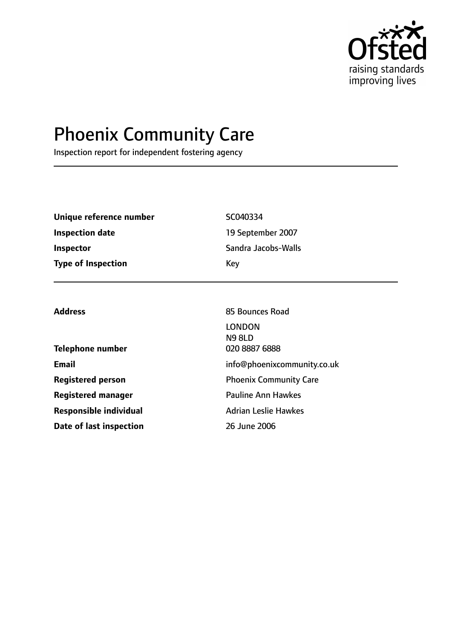

# Phoenix Community Care

Inspection report for independent fostering agency

| Unique reference number   | SC040334            |
|---------------------------|---------------------|
| <b>Inspection date</b>    | 19 September 2007   |
| <b>Inspector</b>          | Sandra Jacobs-Walls |
| <b>Type of Inspection</b> | Key                 |

**Telephone number** 020 8887 6888 **Email** info@phoenixcommunity.co.uk **Registered person** Phoenix Community Care **Registered manager** Pauline Ann Hawkes **Responsible individual** Adrian Leslie Hawkes **Date of last inspection** 26 June 2006

Address **85 Bounces** Road LONDON N9 8LD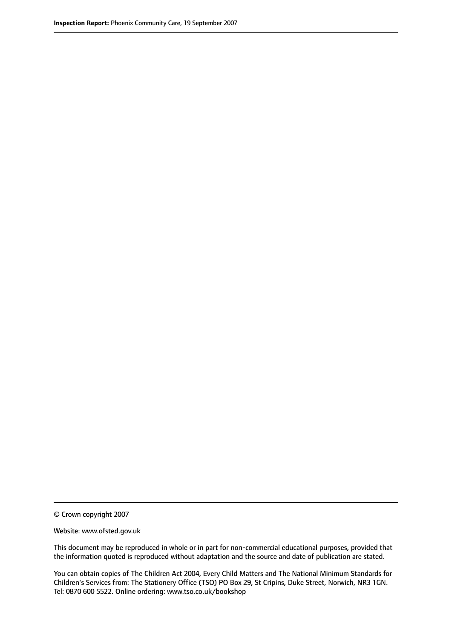© Crown copyright 2007

Website: www.ofsted.gov.uk

This document may be reproduced in whole or in part for non-commercial educational purposes, provided that the information quoted is reproduced without adaptation and the source and date of publication are stated.

You can obtain copies of The Children Act 2004, Every Child Matters and The National Minimum Standards for Children's Services from: The Stationery Office (TSO) PO Box 29, St Cripins, Duke Street, Norwich, NR3 1GN. Tel: 0870 600 5522. Online ordering: www.tso.co.uk/bookshop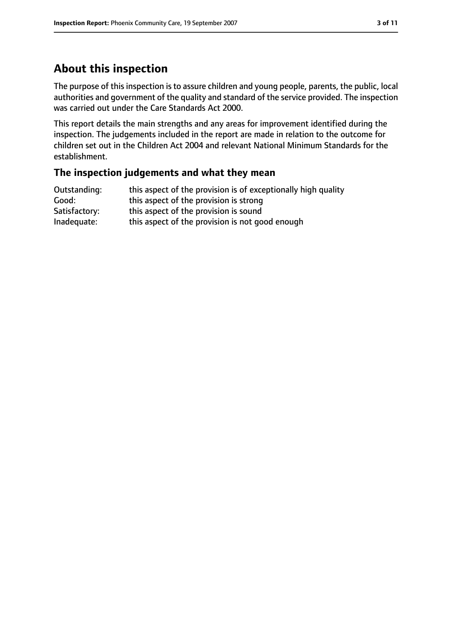### **About this inspection**

The purpose of this inspection is to assure children and young people, parents, the public, local authorities and government of the quality and standard of the service provided. The inspection was carried out under the Care Standards Act 2000.

This report details the main strengths and any areas for improvement identified during the inspection. The judgements included in the report are made in relation to the outcome for children set out in the Children Act 2004 and relevant National Minimum Standards for the establishment.

### **The inspection judgements and what they mean**

| Outstanding:  | this aspect of the provision is of exceptionally high quality |
|---------------|---------------------------------------------------------------|
| Good:         | this aspect of the provision is strong                        |
| Satisfactory: | this aspect of the provision is sound                         |
| Inadequate:   | this aspect of the provision is not good enough               |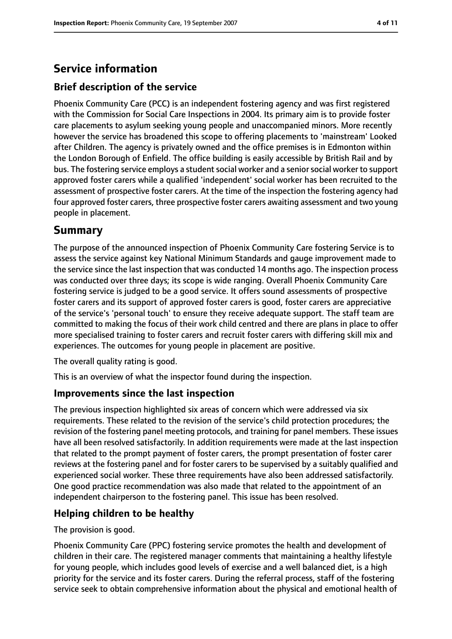### **Service information**

### **Brief description of the service**

Phoenix Community Care (PCC) is an independent fostering agency and was first registered with the Commission for Social Care Inspections in 2004. Its primary aim is to provide foster care placements to asylum seeking young people and unaccompanied minors. More recently however the service has broadened this scope to offering placements to 'mainstream' Looked after Children. The agency is privately owned and the office premises is in Edmonton within the London Borough of Enfield. The office building is easily accessible by British Rail and by bus. The fostering service employs a student social worker and a senior social worker to support approved foster carers while a qualified 'independent' social worker has been recruited to the assessment of prospective foster carers. At the time of the inspection the fostering agency had four approved foster carers, three prospective foster carers awaiting assessment and two young people in placement.

### **Summary**

The purpose of the announced inspection of Phoenix Community Care fostering Service is to assess the service against key National Minimum Standards and gauge improvement made to the service since the last inspection that was conducted 14 months ago. The inspection process was conducted over three days; its scope is wide ranging. Overall Phoenix Community Care fostering service is judged to be a good service. It offers sound assessments of prospective foster carers and its support of approved foster carers is good, foster carers are appreciative of the service's 'personal touch' to ensure they receive adequate support. The staff team are committed to making the focus of their work child centred and there are plans in place to offer more specialised training to foster carers and recruit foster carers with differing skill mix and experiences. The outcomes for young people in placement are positive.

The overall quality rating is good.

This is an overview of what the inspector found during the inspection.

### **Improvements since the last inspection**

The previous inspection highlighted six areas of concern which were addressed via six requirements. These related to the revision of the service's child protection procedures; the revision of the fostering panel meeting protocols, and training for panel members. These issues have all been resolved satisfactorily. In addition requirements were made at the last inspection that related to the prompt payment of foster carers, the prompt presentation of foster carer reviews at the fostering panel and for foster carers to be supervised by a suitably qualified and experienced social worker. These three requirements have also been addressed satisfactorily. One good practice recommendation was also made that related to the appointment of an independent chairperson to the fostering panel. This issue has been resolved.

### **Helping children to be healthy**

The provision is good.

Phoenix Community Care (PPC) fostering service promotes the health and development of children in their care. The registered manager comments that maintaining a healthy lifestyle for young people, which includes good levels of exercise and a well balanced diet, is a high priority for the service and its foster carers. During the referral process, staff of the fostering service seek to obtain comprehensive information about the physical and emotional health of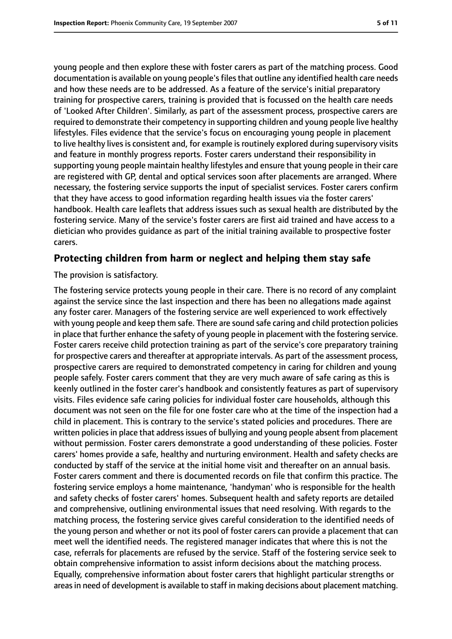young people and then explore these with foster carers as part of the matching process. Good documentation is available on young people's files that outline any identified health care needs and how these needs are to be addressed. As a feature of the service's initial preparatory training for prospective carers, training is provided that is focussed on the health care needs of 'Looked After Children'. Similarly, as part of the assessment process, prospective carers are required to demonstrate their competency in supporting children and young people live healthy lifestyles. Files evidence that the service's focus on encouraging young people in placement to live healthy lives is consistent and, for example is routinely explored during supervisory visits and feature in monthly progress reports. Foster carers understand their responsibility in supporting young people maintain healthy lifestyles and ensure that young people in their care are registered with GP, dental and optical services soon after placements are arranged. Where necessary, the fostering service supports the input of specialist services. Foster carers confirm that they have access to good information regarding health issues via the foster carers' handbook. Health care leaflets that address issues such as sexual health are distributed by the fostering service. Many of the service's foster carers are first aid trained and have access to a dietician who provides guidance as part of the initial training available to prospective foster carers.

#### **Protecting children from harm or neglect and helping them stay safe**

The provision is satisfactory.

The fostering service protects young people in their care. There is no record of any complaint against the service since the last inspection and there has been no allegations made against any foster carer. Managers of the fostering service are well experienced to work effectively with young people and keep them safe. There are sound safe caring and child protection policies in place that further enhance the safety of young people in placement with the fostering service. Foster carers receive child protection training as part of the service's core preparatory training for prospective carers and thereafter at appropriate intervals. As part of the assessment process, prospective carers are required to demonstrated competency in caring for children and young people safely. Foster carers comment that they are very much aware of safe caring as this is keenly outlined in the foster carer's handbook and consistently features as part of supervisory visits. Files evidence safe caring policies for individual foster care households, although this document was not seen on the file for one foster care who at the time of the inspection had a child in placement. This is contrary to the service's stated policies and procedures. There are written policies in place that address issues of bullying and young people absent from placement without permission. Foster carers demonstrate a good understanding of these policies. Foster carers' homes provide a safe, healthy and nurturing environment. Health and safety checks are conducted by staff of the service at the initial home visit and thereafter on an annual basis. Foster carers comment and there is documented records on file that confirm this practice. The fostering service employs a home maintenance, 'handyman' who is responsible for the health and safety checks of foster carers' homes. Subsequent health and safety reports are detailed and comprehensive, outlining environmental issues that need resolving. With regards to the matching process, the fostering service gives careful consideration to the identified needs of the young person and whether or not its pool of foster carers can provide a placement that can meet well the identified needs. The registered manager indicates that where this is not the case, referrals for placements are refused by the service. Staff of the fostering service seek to obtain comprehensive information to assist inform decisions about the matching process. Equally, comprehensive information about foster carers that highlight particular strengths or areas in need of development is available to staff in making decisions about placement matching.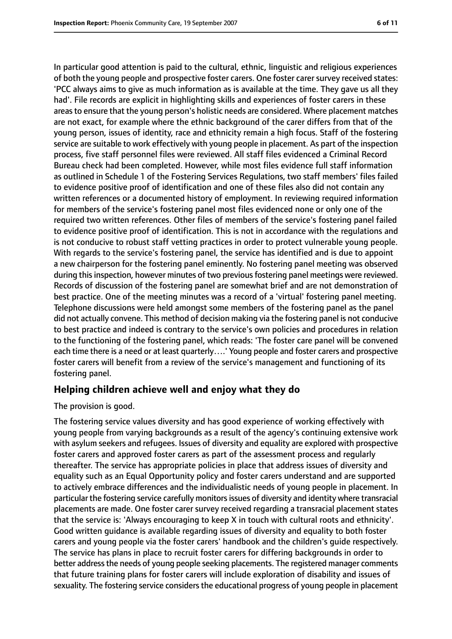In particular good attention is paid to the cultural, ethnic, linguistic and religious experiences of both the young people and prospective foster carers. One foster carer survey received states: 'PCC always aims to give as much information as is available at the time. They gave us all they had'. File records are explicit in highlighting skills and experiences of foster carers in these areasto ensure that the young person's holistic needs are considered. Where placement matches are not exact, for example where the ethnic background of the carer differs from that of the young person, issues of identity, race and ethnicity remain a high focus. Staff of the fostering service are suitable to work effectively with young people in placement. As part of the inspection process, five staff personnel files were reviewed. All staff files evidenced a Criminal Record Bureau check had been completed. However, while most files evidence full staff information as outlined in Schedule 1 of the Fostering Services Regulations, two staff members' files failed to evidence positive proof of identification and one of these files also did not contain any written references or a documented history of employment. In reviewing required information for members of the service's fostering panel most files evidenced none or only one of the required two written references. Other files of members of the service's fostering panel failed to evidence positive proof of identification. This is not in accordance with the regulations and is not conducive to robust staff vetting practices in order to protect vulnerable young people. With regards to the service's fostering panel, the service has identified and is due to appoint a new chairperson for the fostering panel eminently. No fostering panel meeting was observed during this inspection, however minutes of two previous fostering panel meetings were reviewed. Records of discussion of the fostering panel are somewhat brief and are not demonstration of best practice. One of the meeting minutes was a record of a 'virtual' fostering panel meeting. Telephone discussions were held amongst some members of the fostering panel as the panel did not actually convene. This method of decision making via the fostering panel is not conducive to best practice and indeed is contrary to the service's own policies and procedures in relation to the functioning of the fostering panel, which reads: 'The foster care panel will be convened each time there is a need or at least quarterly….' Young people and foster carers and prospective foster carers will benefit from a review of the service's management and functioning of its fostering panel.

#### **Helping children achieve well and enjoy what they do**

The provision is good.

The fostering service values diversity and has good experience of working effectively with young people from varying backgrounds as a result of the agency's continuing extensive work with asylum seekers and refugees. Issues of diversity and equality are explored with prospective foster carers and approved foster carers as part of the assessment process and regularly thereafter. The service has appropriate policies in place that address issues of diversity and equality such as an Equal Opportunity policy and foster carers understand and are supported to actively embrace differences and the individualistic needs of young people in placement. In particular the fostering service carefully monitorsissues of diversity and identity where transracial placements are made. One foster carer survey received regarding a transracial placement states that the service is: 'Always encouraging to keep X in touch with cultural roots and ethnicity'. Good written guidance is available regarding issues of diversity and equality to both foster carers and young people via the foster carers' handbook and the children's guide respectively. The service has plans in place to recruit foster carers for differing backgrounds in order to better address the needs of young people seeking placements. The registered manager comments that future training plans for foster carers will include exploration of disability and issues of sexuality. The fostering service considers the educational progress of young people in placement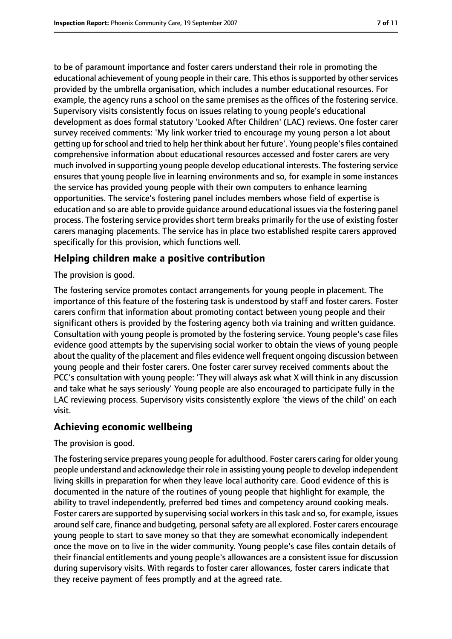to be of paramount importance and foster carers understand their role in promoting the educational achievement of young people in their care. This ethos is supported by other services provided by the umbrella organisation, which includes a number educational resources. For example, the agency runs a school on the same premises as the offices of the fostering service. Supervisory visits consistently focus on issues relating to young people's educational development as does formal statutory 'Looked After Children' (LAC) reviews. One foster carer survey received comments: 'My link worker tried to encourage my young person a lot about getting up for school and tried to help her think about her future'. Young people's files contained comprehensive information about educational resources accessed and foster carers are very much involved in supporting young people develop educational interests. The fostering service ensures that young people live in learning environments and so, for example in some instances the service has provided young people with their own computers to enhance learning opportunities. The service's fostering panel includes members whose field of expertise is education and so are able to provide guidance around educational issues via the fostering panel process. The fostering service provides short term breaks primarily for the use of existing foster carers managing placements. The service has in place two established respite carers approved specifically for this provision, which functions well.

### **Helping children make a positive contribution**

The provision is good.

The fostering service promotes contact arrangements for young people in placement. The importance of this feature of the fostering task is understood by staff and foster carers. Foster carers confirm that information about promoting contact between young people and their significant others is provided by the fostering agency both via training and written guidance. Consultation with young people is promoted by the fostering service. Young people's case files evidence good attempts by the supervising social worker to obtain the views of young people about the quality of the placement and files evidence well frequent ongoing discussion between young people and their foster carers. One foster carer survey received comments about the PCC's consultation with young people: 'They will always ask what X will think in any discussion and take what he says seriously' Young people are also encouraged to participate fully in the LAC reviewing process. Supervisory visits consistently explore 'the views of the child' on each visit.

### **Achieving economic wellbeing**

The provision is good.

The fostering service prepares young people for adulthood. Foster carers caring for older young people understand and acknowledge their role in assisting young people to develop independent living skills in preparation for when they leave local authority care. Good evidence of this is documented in the nature of the routines of young people that highlight for example, the ability to travel independently, preferred bed times and competency around cooking meals. Foster carers are supported by supervising social workers in this task and so, for example, issues around self care, finance and budgeting, personal safety are all explored. Foster carers encourage young people to start to save money so that they are somewhat economically independent once the move on to live in the wider community. Young people's case files contain details of their financial entitlements and young people's allowances are a consistent issue for discussion during supervisory visits. With regards to foster carer allowances, foster carers indicate that they receive payment of fees promptly and at the agreed rate.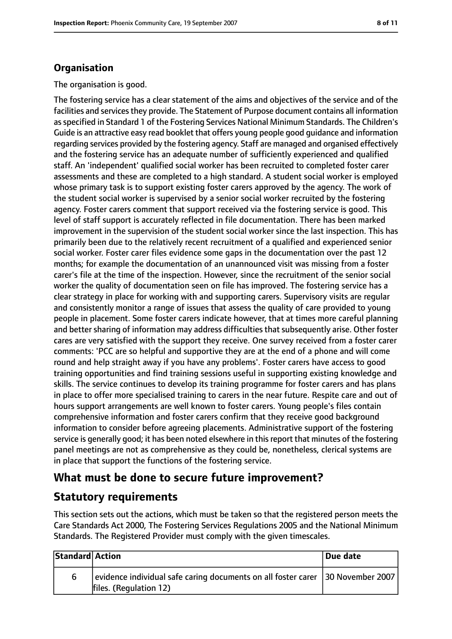### **Organisation**

The organisation is good.

The fostering service has a clear statement of the aims and objectives of the service and of the facilities and services they provide. The Statement of Purpose document contains all information asspecified in Standard 1 of the Fostering Services National Minimum Standards. The Children's Guide is an attractive easy read booklet that offers young people good guidance and information regarding services provided by the fostering agency. Staff are managed and organised effectively and the fostering service has an adequate number of sufficiently experienced and qualified staff. An 'independent' qualified social worker has been recruited to completed foster carer assessments and these are completed to a high standard. A student social worker is employed whose primary task is to support existing foster carers approved by the agency. The work of the student social worker is supervised by a senior social worker recruited by the fostering agency. Foster carers comment that support received via the fostering service is good. This level of staff support is accurately reflected in file documentation. There has been marked improvement in the supervision of the student social worker since the last inspection. This has primarily been due to the relatively recent recruitment of a qualified and experienced senior social worker. Foster carer files evidence some gaps in the documentation over the past 12 months; for example the documentation of an unannounced visit was missing from a foster carer's file at the time of the inspection. However, since the recruitment of the senior social worker the quality of documentation seen on file has improved. The fostering service has a clear strategy in place for working with and supporting carers. Supervisory visits are regular and consistently monitor a range of issues that assess the quality of care provided to young people in placement. Some foster carers indicate however, that at times more careful planning and better sharing of information may address difficulties that subsequently arise. Other foster cares are very satisfied with the support they receive. One survey received from a foster carer comments: 'PCC are so helpful and supportive they are at the end of a phone and will come round and help straight away if you have any problems'. Foster carers have access to good training opportunities and find training sessions useful in supporting existing knowledge and skills. The service continues to develop its training programme for foster carers and has plans in place to offer more specialised training to carers in the near future. Respite care and out of hours support arrangements are well known to foster carers. Young people's files contain comprehensive information and foster carers confirm that they receive good background information to consider before agreeing placements. Administrative support of the fostering service is generally good; it has been noted elsewhere in thisreport that minutes of the fostering panel meetings are not as comprehensive as they could be, nonetheless, clerical systems are in place that support the functions of the fostering service.

### **What must be done to secure future improvement?**

### **Statutory requirements**

This section sets out the actions, which must be taken so that the registered person meets the Care Standards Act 2000, The Fostering Services Regulations 2005 and the National Minimum Standards. The Registered Provider must comply with the given timescales.

| Standard Action |                                                                                                              | Due date |
|-----------------|--------------------------------------------------------------------------------------------------------------|----------|
| 6               | evidence individual safe caring documents on all foster carer   30 November 2007  <br>files. (Regulation 12) |          |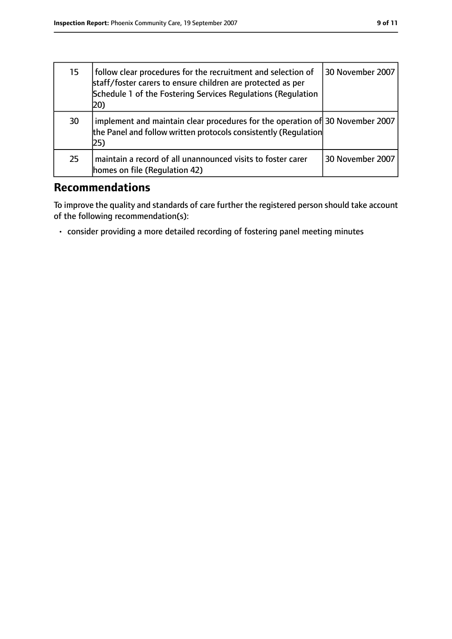| 15 | follow clear procedures for the recruitment and selection of<br>staff/foster carers to ensure children are protected as per<br>Schedule 1 of the Fostering Services Regulations (Regulation<br>20) | 30 November 2007 |
|----|----------------------------------------------------------------------------------------------------------------------------------------------------------------------------------------------------|------------------|
| 30 | implement and maintain clear procedures for the operation of 30 November 2007<br>the Panel and follow written protocols consistently (Requlation<br>25)                                            |                  |
| 25 | maintain a record of all unannounced visits to foster carer<br>homes on file (Regulation 42)                                                                                                       | 30 November 2007 |

### **Recommendations**

To improve the quality and standards of care further the registered person should take account of the following recommendation(s):

• consider providing a more detailed recording of fostering panel meeting minutes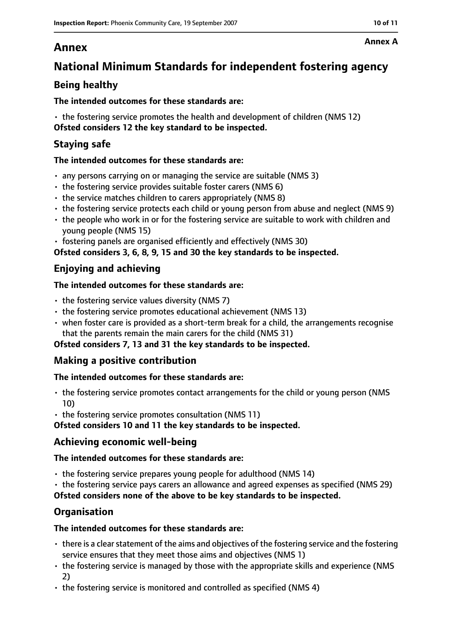### **Annex**

## **National Minimum Standards for independent fostering agency**

### **Being healthy**

#### **The intended outcomes for these standards are:**

• the fostering service promotes the health and development of children (NMS 12) **Ofsted considers 12 the key standard to be inspected.**

### **Staying safe**

#### **The intended outcomes for these standards are:**

- any persons carrying on or managing the service are suitable (NMS 3)
- the fostering service provides suitable foster carers (NMS 6)
- the service matches children to carers appropriately (NMS 8)
- the fostering service protects each child or young person from abuse and neglect (NMS 9)
- the people who work in or for the fostering service are suitable to work with children and young people (NMS 15)
- fostering panels are organised efficiently and effectively (NMS 30)

**Ofsted considers 3, 6, 8, 9, 15 and 30 the key standards to be inspected.**

### **Enjoying and achieving**

#### **The intended outcomes for these standards are:**

- $\cdot$  the fostering service values diversity (NMS 7)
- the fostering service promotes educational achievement (NMS 13)
- when foster care is provided as a short-term break for a child, the arrangements recognise that the parents remain the main carers for the child (NMS 31)

### **Ofsted considers 7, 13 and 31 the key standards to be inspected.**

### **Making a positive contribution**

### **The intended outcomes for these standards are:**

- the fostering service promotes contact arrangements for the child or young person (NMS 10)
- the fostering service promotes consultation (NMS 11)

**Ofsted considers 10 and 11 the key standards to be inspected.**

### **Achieving economic well-being**

### **The intended outcomes for these standards are:**

- the fostering service prepares young people for adulthood (NMS 14)
- the fostering service pays carers an allowance and agreed expenses as specified (NMS 29)

**Ofsted considers none of the above to be key standards to be inspected.**

### **Organisation**

### **The intended outcomes for these standards are:**

- $\cdot$  there is a clear statement of the aims and objectives of the fostering service and the fostering service ensures that they meet those aims and objectives (NMS 1)
- the fostering service is managed by those with the appropriate skills and experience (NMS 2)
- the fostering service is monitored and controlled as specified (NMS 4)